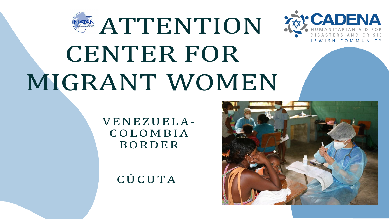# **ATTENTION** CENTER FOR MIGRANT WOMEN

VENEZUELA-COLOMBIA BORDER

CÚCUTA



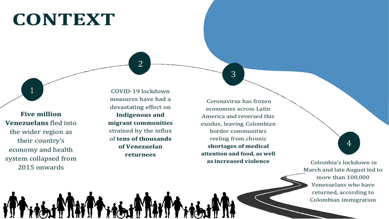#### **CONTEXT**

1

**Five million Venezuelans** fled into the wider region as their country's economy and health system collapsed from 2015 onwards

2

COVID-19 lockdown measures have had a devastating effect on **Indigenous and migrant communities** strained by the influx of **tens of thousands of Venezuelan returnees**

3



Coronavirus has frozen economies across Latin America and reversed this exodus, leaving Colombian border communities reeling from chronic **shortages of medical attention and food, as well as increased violence**

4

Colombia's lockdown in March and late August led to more than 100,000 Venezuelans who have returned, according to Colombian immigration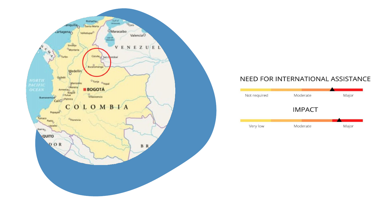

#### NEED FOR INTERNATIONAL ASSISTANCE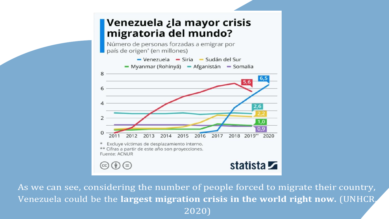#### **Venezuela ¿la mayor crisis** migratoria del mundo?

Número de personas forzadas a emigrar por país de origen<sup>\*</sup> (en millones)



As we can see, considering the number of people forced to migrate their country, Venezuela could be the largest migration crisis in the world right now. (UNHCR, 2020)

# 2018 2019\*\* 2020

#### statista **Z**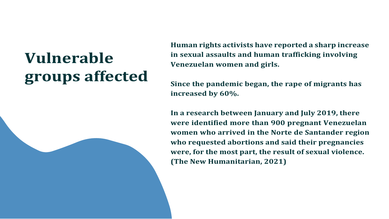### **Vulnerable groups affected**

**Human rights activists have reported a sharp increase in sexual [assaults](https://www.semana.com/nacion/articulo/el-drama-de-las-violaciones-en-la-frontera-con-venezuela/656445/) and human trafficking involving Venezuelan women and girls.**

**Since the pandemic began, the rape of migrants has**

**increased by 60%.**

**In a research between January and July 2019, there were identified more than 900 pregnant Venezuelan women who arrived in the Norte de Santander region who requested abortions and said their pregnancies were, for the most part, the result of sexual violence. (The New Humanitarian, 2021)**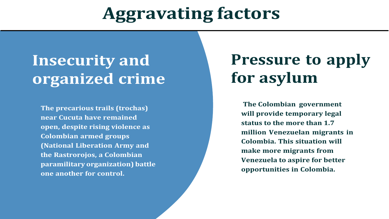## **Aggravating factors**

#### **Insecurity and organized crime**

**The precarious trails (trochas) near Cucuta have remained open, despite rising violence as Colombian armed groups (National Liberation Army and the Rastrorojos, a Colombian paramilitary organization) battle one another for control.**

#### **Pressure to apply for asylum**

**The Colombian government will provide temporary legal status to the more than 1.7 million Venezuelan migrants in Colombia. This situation will make more migrants from Venezuela to aspire for better opportunities in Colombia.**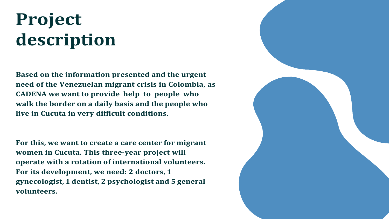# **Project description**

**Based on the information presented and the urgent need of the Venezuelan migrant crisis in Colombia, as CADENA we want to provide help to people who walk the border on a daily basis and the people who live in Cucuta in very difficult conditions.**

**For this, we want to create a care center for migrant women in Cucuta. This three-year project will operate with a rotation of international volunteers. For its development, we need: 2 doctors, 1 gynecologist, 1 dentist, 2 psychologist and 5 general volunteers.**